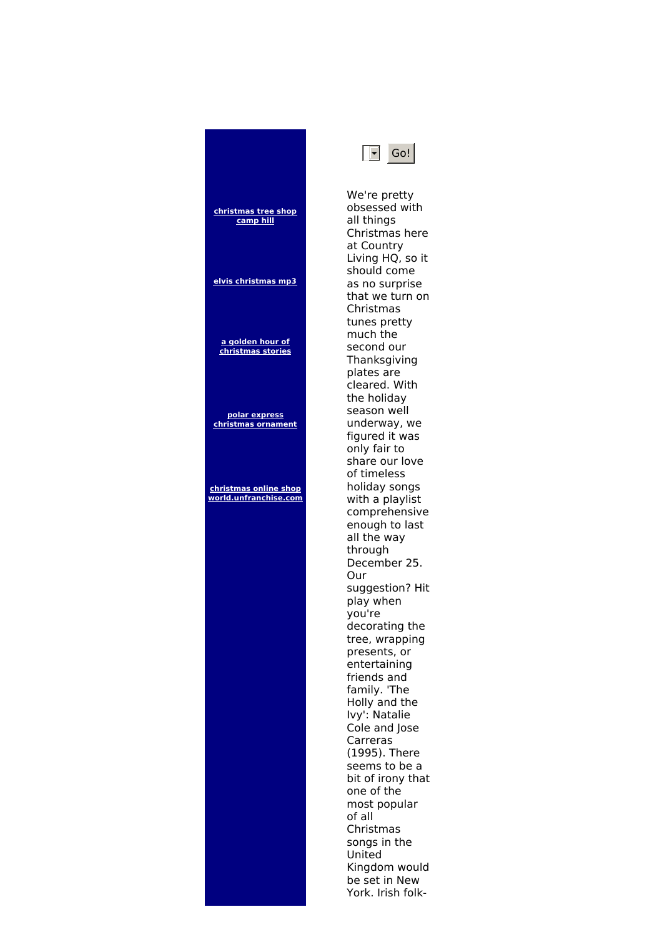



We're pretty obsessed with all things Christmas here at Country Living HQ, so it should come as no surprise that we turn on Christmas tunes pretty much the second our **Thanksgiving** plates are cleared. With the holiday season well underway, we figured it was only fair to share our love of timeless holiday songs with a playlist comprehensive enough to last all the way through December 25. Our suggestion? Hit play when you're decorating the tree, wrapping presents, or entertaining friends and family. 'The Holly and the Ivy': Natalie Cole and Jose Carreras (1995). There seems to be a bit of irony that one of the most popular of all Christmas songs in the United Kingdom would be set in New York. Irish folk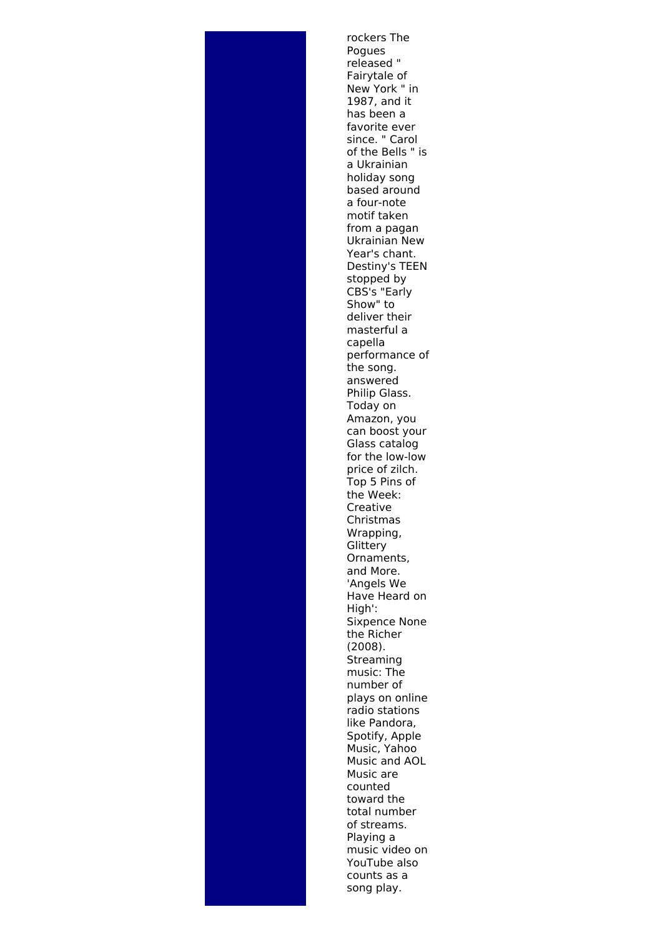rockers The Pogues released " Fairytale of New York " in 1987, and it has been a favorite ever since. " Carol of the Bells " is a Ukrainian holiday song based around a four-note motif taken from a pagan Ukrainian New Year's chant. Destiny's TEEN stopped by CBS's "Early Show" to deliver their masterful a capella performance of the song. answered Philip Glass. Today on Amazon, you can boost your Glass catalog for the low-low price of zilch. Top 5 Pins of the Week: Creative Christmas Wrapping, **Glittery** Ornaments, and More. 'Angels We Have Heard on High': Sixpence None the Richer (2008). Streaming music: The number of plays on online radio stations like Pandora, Spotify, Apple Music, Yahoo Music and AOL Music are counted toward the total number of streams. Playing a music video on YouTube also counts as a song play.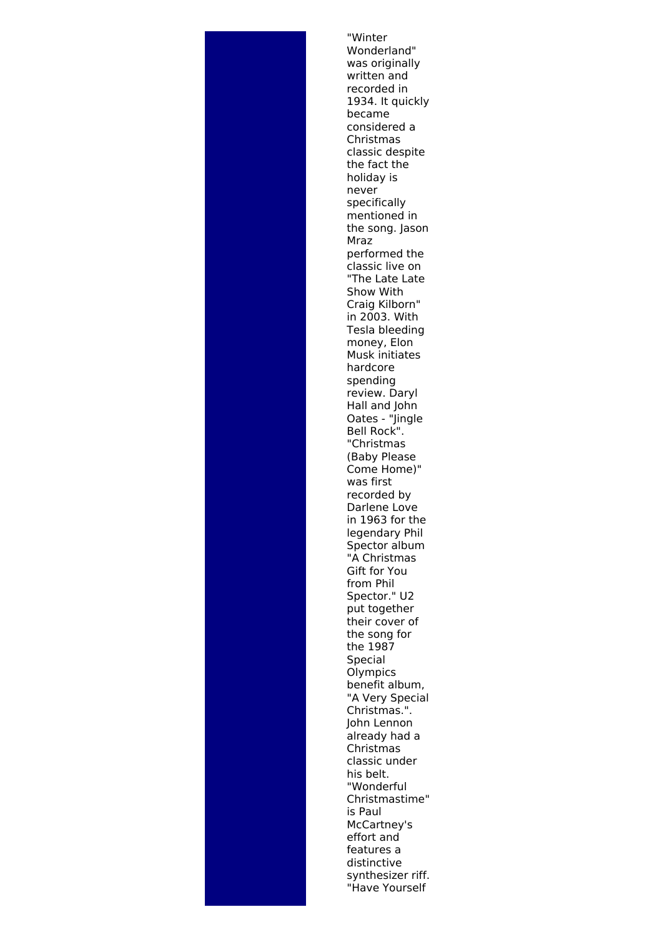"Winter Wonderland" was originally written and recorded in 1934. It quickly became considered a Christmas classic despite the fact the holiday is never specifically mentioned in the song. Jason Mraz performed the classic live on "The Late Late Show With Craig Kilborn" in 2003. With Tesla bleeding money, Elon Musk initiates hardcore spending review. Daryl Hall and John Oates - "Jingle Bell Rock". "Christmas (Baby Please Come Home)" was first recorded by Darlene Love in 1963 for the legendary Phil Spector album "A Christmas Gift for You from Phil Spector." U2 put together their cover of the song for the 1987 Special **Olympics** benefit album, "A Very Special Christmas.". John Lennon already had a Christmas classic under his belt. "Wonderful Christmastime" is Paul McCartney's effort and features a distinctive synthesizer riff. "Have Yourself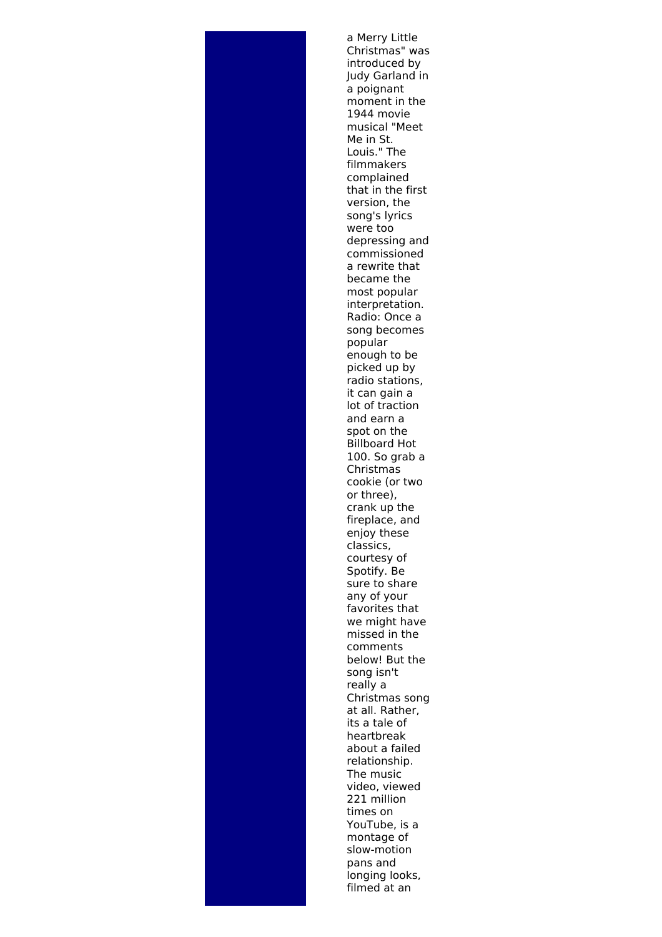

a Merry Little Christmas" was introduced by Judy Garland in a poignant moment in the 1944 movie musical "Meet Me in St. Louis." The filmmakers complained that in the first version, the song's lyrics were too depressing and commissioned a rewrite that became the most popular interpretation. Radio: Once a song becomes popular enough to be picked up by radio stations, it can gain a lot of traction and earn a spot on the Billboard Hot 100. So grab a Christmas cookie (or two or three), crank up the fireplace, and enjoy these classics, courtesy of Spotify. Be sure to share any of your favorites that we might have missed in the comments below! But the song isn't really a Christmas song at all. Rather, its a tale of heartbreak about a failed relationship. The music video, viewed 221 million times on YouTube, is a montage of slow-motion pans and longing looks, filmed at an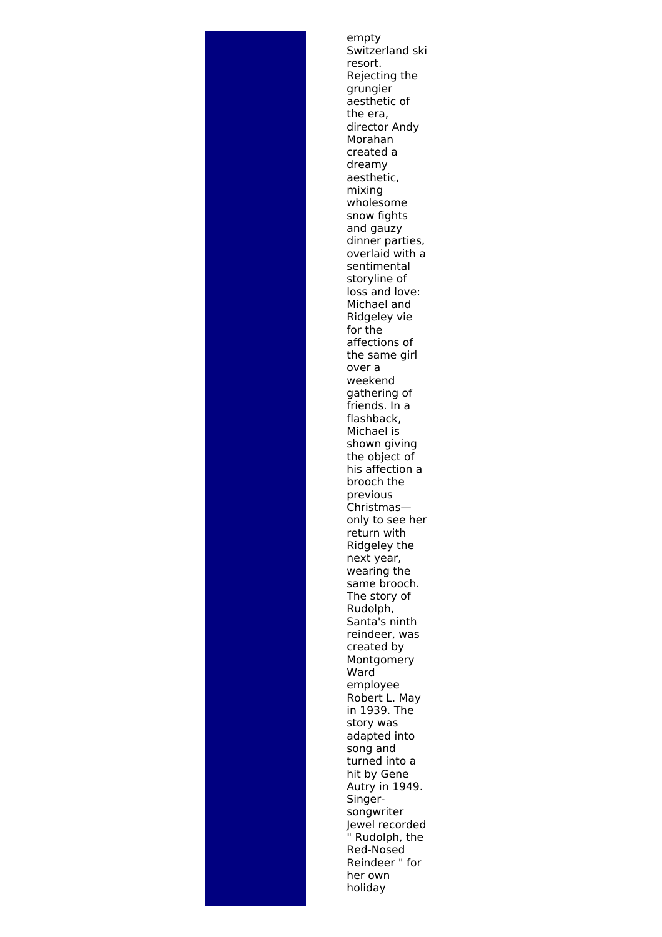empty Switzerland ski resort. Rejecting the grungier aesthetic of the era, director Andy Morahan created a dreamy aesthetic, mixing wholesome snow fights and gauzy dinner parties, overlaid with a sentimental storyline of loss and love: Michael and Ridgeley vie for the affections of the same girl over a weekend gathering of friends. In a flashback, Michael is shown giving the object of his affection a brooch the previous Christmas only to see her return with Ridgeley the next year, wearing the same brooch. The story of Rudolph, Santa's ninth reindeer, was created by Montgomery **Ward** employee Robert L. May in 1939. The story was adapted into song and turned into a hit by Gene Autry in 1949. Singersongwriter Jewel recorded " Rudolph, the Red-Nosed Reindeer " for her own holiday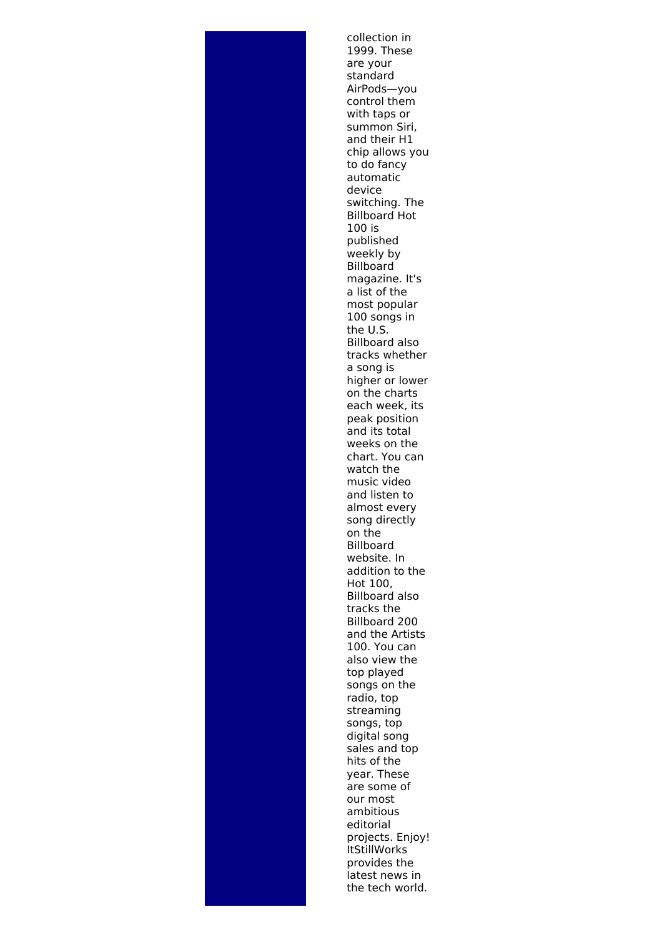collection in 1999. These are your standard AirPods—you control them with taps or summon Siri, and their H1 chip allows you to do fancy automatic device switching. The Billboard Hot 100 is published weekly by Billboard magazine. It's a list of the most popular 100 songs in the U.S. Billboard also tracks whether a song is higher or lower on the charts each week, its peak position and its total weeks on the chart. You can watch the music video and listen to almost every song directly on the Billboard website. In addition to the Hot 100, Billboard also tracks the Billboard 200 and the Artists 100. You can also view the top played songs on the radio, top streaming songs, top digital song sales and top hits of the year. These are some of our most ambitious editorial projects. Enjoy! **ItStillWorks** provides the latest news in the tech world.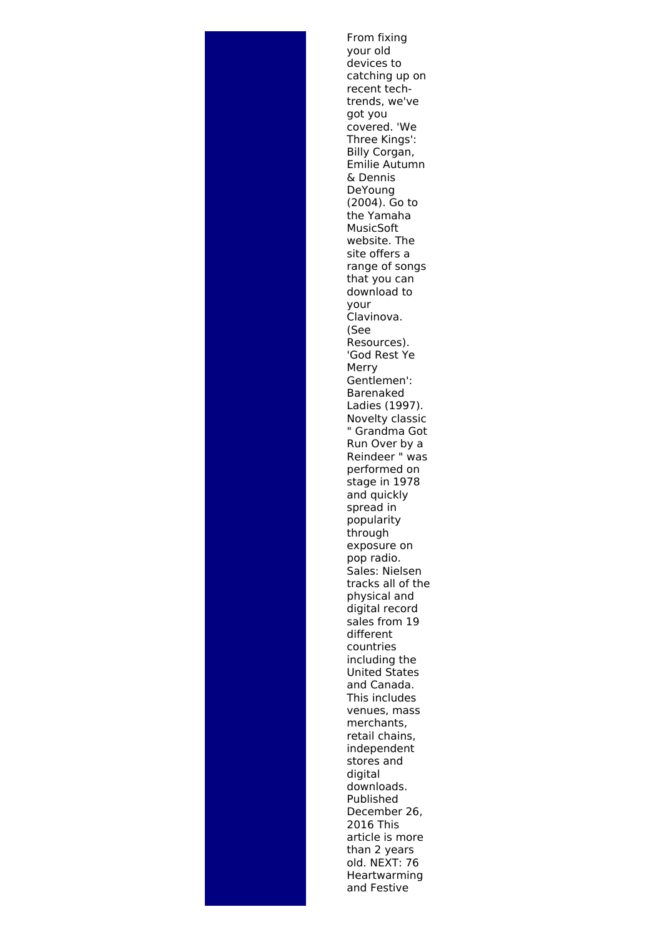From fixing your old devices to catching up on recent techtrends, we've got you covered. 'We Three Kings': Billy Corgan, Emilie Autumn & Dennis DeYoung (2004). Go to the Yamaha MusicSoft website. The site offers a range of songs that you can download to your Clavinova. (See Resources). 'God Rest Ye Merry Gentlemen': Barenaked Ladies (1997). Novelty classic " Grandma Got Run Over by a Reindeer " was performed on stage in 1978 and quickly spread in popularity through exposure on pop radio. Sales: Nielsen tracks all of the physical and digital record sales from 19 different countries including the United States and Canada. This includes venues, mass merchants, retail chains, independent stores and digital downloads. Published December 26, 2016 This article is more than 2 years old. NEXT: 76 Heartwarming and Festive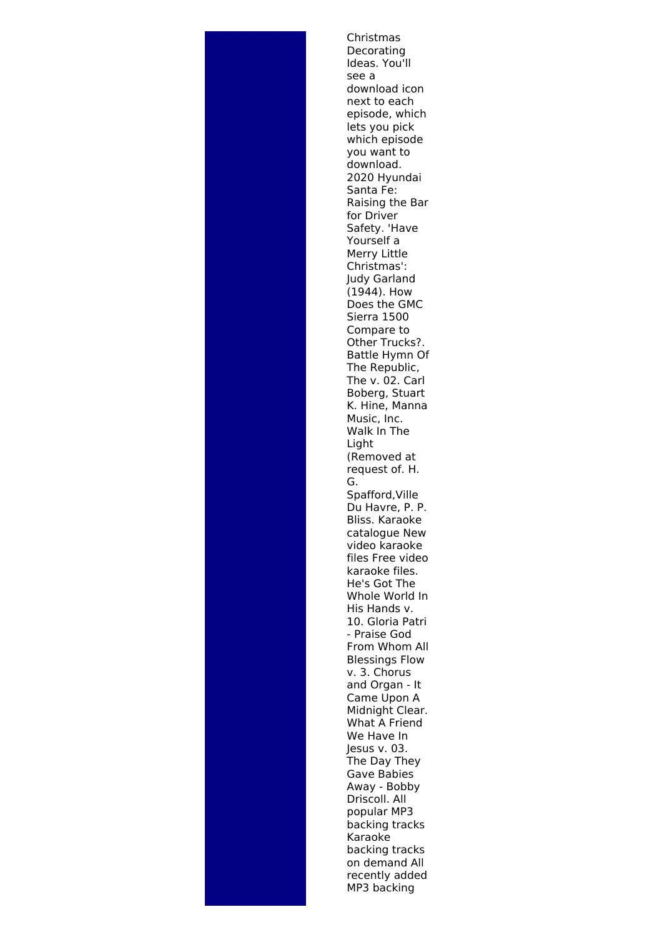Christmas Decorating Ideas. You'll see a download icon next to each episode, which lets you pick which episode you want to download. 2020 Hyundai Santa Fe: Raising the Bar for Driver Safety. 'Have Yourself a Merry Little Christmas': Judy Garland (1944). How Does the GMC Sierra 1500 Compare to Other Trucks?. Battle Hymn Of The Republic, The v. 02. Carl Boberg, Stuart K. Hine, Manna Music, Inc. Walk In The Light (Removed at request of. H. G. Spafford,Ville Du Havre, P. P. Bliss. Karaoke catalogue New video karaoke files Free video karaoke files. He's Got The Whole World In His Hands v. 10. Gloria Patri - Praise God From Whom All Blessings Flow v. 3. Chorus and Organ - It Came Upon A Midnight Clear. What A Friend We Have In Jesus v. 03. The Day They Gave Babies Away - Bobby Driscoll. All popular MP3 backing tracks Karaoke backing tracks on demand All recently added MP3 backing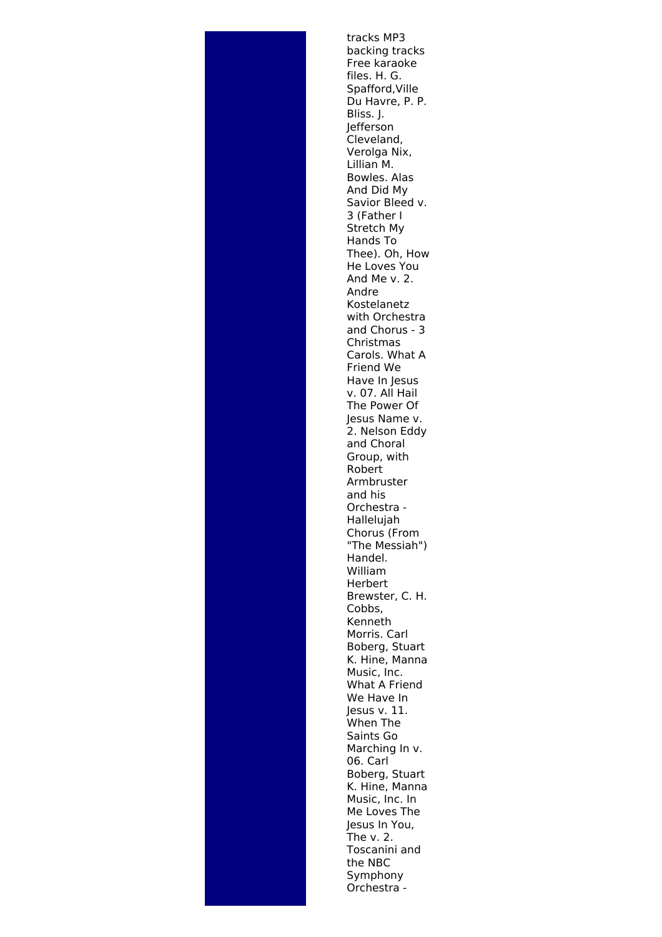

tracks MP3 backing tracks Free karaoke files. H. G. Spafford,Ville Du Havre, P. P. Bliss. J. Jefferson Cleveland, Verolga Nix, Lillian M. Bowles. Alas And Did My Savior Bleed v. 3 (Father I Stretch My Hands To Thee). Oh, How He Loves You And Me v. 2. Andre Kostelanetz with Orchestra and Chorus - 3 Christmas Carols. What A Friend We Have In Jesus v. 07. All Hail The Power Of Jesus Name v. 2. Nelson Eddy and Choral Group, with Robert Armbruster and his Orchestra - Hallelujah Chorus (From "The Messiah") Handel. William Herbert Brewster, C. H. Cobbs, Kenneth Morris. Carl Boberg, Stuart K. Hine, Manna Music, Inc. What A Friend We Have In Jesus v. 11. When The Saints Go Marching In v. 06. Carl Boberg, Stuart K. Hine, Manna Music, Inc. In Me Loves The Jesus In You, The v. 2. Toscanini and the NBC Symphony Orchestra -